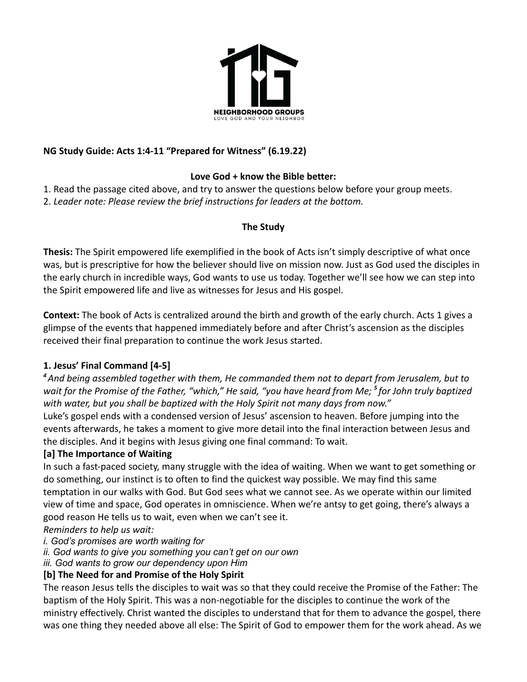

## **NG Study Guide: Acts 1:4-11 "Prepared for Witness" (6.19.22)**

## **Love God + know the Bible better:**

1. Read the passage cited above, and try to answer the questions below before your group meets. 2. *Leader note: Please review the brief instructions for leaders at the bottom.*

## **The Study**

**Thesis:** The Spirit empowered life exemplified in the book of Acts isn't simply descriptive of what once was, but is prescriptive for how the believer should live on mission now. Just as God used the disciples in the early church in incredible ways, God wants to use us today. Together we'll see how we can step into the Spirit empowered life and live as witnesses for Jesus and His gospel.

**Context:** The book of Acts is centralized around the birth and growth of the early church. Acts 1 gives a glimpse of the events that happened immediately before and after Christ's ascension as the disciples received their final preparation to continue the work Jesus started.

## **1. Jesus' Final Command [4-5]**

*<sup>4</sup>And being assembled together with them, He commanded them not to depart from Jerusalem, but to wait for the Promise of the Father, "which," He said, "you have heard from Me; <sup>5</sup> for John truly baptized with water, but you shall be baptized with the Holy Spirit not many days from now."*

Luke's gospel ends with a condensed version of Jesus' ascension to heaven. Before jumping into the events afterwards, he takes a moment to give more detail into the final interaction between Jesus and the disciples. And it begins with Jesus giving one final command: To wait.

## **[a] The Importance of Waiting**

In such a fast-paced society, many struggle with the idea of waiting. When we want to get something or do something, our instinct is to often to find the quickest way possible. We may find this same temptation in our walks with God. But God sees what we cannot see. As we operate within our limited view of time and space, God operates in omniscience. When we're antsy to get going, there's always a good reason He tells us to wait, even when we can't see it.

*Reminders to help us wait:*

*i. God's promises are worth waiting for*

*ii. God wants to give you something you can't get on our own*

*iii. God wants to grow our dependency upon Him*

## **[b] The Need for and Promise of the Holy Spirit**

The reason Jesus tells the disciples to wait was so that they could receive the Promise of the Father: The baptism of the Holy Spirit. This was a non-negotiable for the disciples to continue the work of the ministry effectively. Christ wanted the disciples to understand that for them to advance the gospel, there was one thing they needed above all else: The Spirit of God to empower them for the work ahead. As we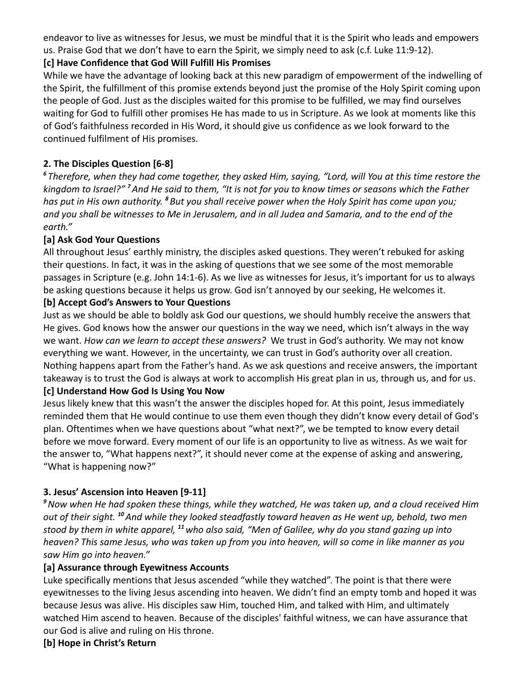endeavor to live as witnesses for Jesus, we must be mindful that it is the Spirit who leads and empowers us. Praise God that we don't have to earn the Spirit, we simply need to ask (c.f. Luke 11:9-12).

## **[c] Have Confidence that God Will Fulfill His Promises**

While we have the advantage of looking back at this new paradigm of empowerment of the indwelling of the Spirit, the fulfillment of this promise extends beyond just the promise of the Holy Spirit coming upon the people of God. Just as the disciples waited for this promise to be fulfilled, we may find ourselves waiting for God to fulfill other promises He has made to us in Scripture. As we look at moments like this of God's faithfulness recorded in His Word, it should give us confidence as we look forward to the continued fulfilment of His promises.

# **2. The Disciples Question [6-8]**

*<sup>6</sup> Therefore, when they had come together, they asked Him, saying, "Lord, will You at this time restore the kingdom to Israel?" <sup>7</sup>And He said to them, "It is not for you to know times or seasons which the Father has put in His own authority. <sup>8</sup> But you shall receive power when the Holy Spirit has come upon you; and you shall be witnesses to Me in Jerusalem, and in all Judea and Samaria, and to the end of the earth."*

## **[a] Ask God Your Questions**

All throughout Jesus' earthly ministry, the disciples asked questions. They weren't rebuked for asking their questions. In fact, it was in the asking of questions that we see some of the most memorable passages in Scripture (e.g. John 14:1-6). As we live as witnesses for Jesus, it's important for us to always be asking questions because it helps us grow. God isn't annoyed by our seeking, He welcomes it.

## **[b] Accept God's Answers to Your Questions**

Just as we should be able to boldly ask God our questions, we should humbly receive the answers that He gives. God knows how the answer our questions in the way we need, which isn't always in the way we want. *How can we learn to accept these answers?* We trust in God's authority. We may not know everything we want. However, in the uncertainty, we can trust in God's authority over all creation. Nothing happens apart from the Father's hand. As we ask questions and receive answers, the important takeaway is to trust the God is always at work to accomplish His great plan in us, through us, and for us.

## **[c] Understand How God Is Using You Now**

Jesus likely knew that this wasn't the answer the disciples hoped for. At this point, Jesus immediately reminded them that He would continue to use them even though they didn't know every detail of God's plan. Oftentimes when we have questions about "what next?", we be tempted to know every detail before we move forward. Every moment of our life is an opportunity to live as witness. As we wait for the answer to, "What happens next?", it should never come at the expense of asking and answering, "What is happening now?"

## **3. Jesus' Ascension into Heaven [9-11]**

*<sup>9</sup>Now when He had spoken these things, while they watched, He was taken up, and a cloud received Him out of their sight. <sup>10</sup>And while they looked steadfastly toward heaven as He went up, behold, two men stood by them in white apparel, <sup>11</sup>who also said, "Men of Galilee, why do you stand gazing up into heaven? This same Jesus, who was taken up from you into heaven, will so come in like manner as you saw Him go into heaven."*

#### **[a] Assurance through Eyewitness Accounts**

Luke specifically mentions that Jesus ascended "while they watched". The point is that there were eyewitnesses to the living Jesus ascending into heaven. We didn't find an empty tomb and hoped it was because Jesus was alive. His disciples saw Him, touched Him, and talked with Him, and ultimately watched Him ascend to heaven. Because of the disciples' faithful witness, we can have assurance that our God is alive and ruling on His throne.

#### **[b] Hope in Christ's Return**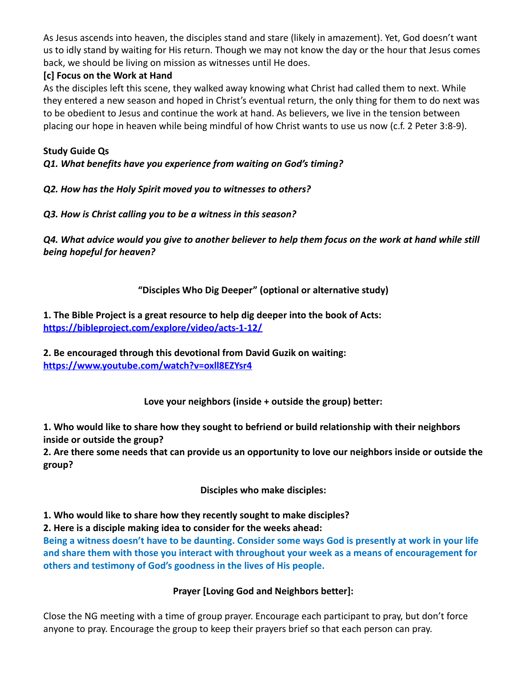As Jesus ascends into heaven, the disciples stand and stare (likely in amazement). Yet, God doesn't want us to idly stand by waiting for His return. Though we may not know the day or the hour that Jesus comes back, we should be living on mission as witnesses until He does.

## **[c] Focus on the Work at Hand**

As the disciples left this scene, they walked away knowing what Christ had called them to next. While they entered a new season and hoped in Christ's eventual return, the only thing for them to do next was to be obedient to Jesus and continue the work at hand. As believers, we live in the tension between placing our hope in heaven while being mindful of how Christ wants to use us now (c.f. 2 Peter 3:8-9).

## **Study Guide Qs**

*Q1. What benefits have you experience from waiting on God's timing?*

## *Q2. How has the Holy Spirit moved you to witnesses to others?*

## *Q3. How is Christ calling you to be a witness in this season?*

*Q4. What advice would you give to another believer to help them focus on the work at hand while still being hopeful for heaven?*

## **"Disciples Who Dig Deeper" (optional or alternative study)**

**1. The Bible Project is a great resource to help dig deeper into the book of Acts: <https://bibleproject.com/explore/video/acts-1-12/>**

**2. Be encouraged through this devotional from David Guzik on waiting: <https://www.youtube.com/watch?v=oxll8EZYsr4>**

**Love your neighbors (inside + outside the group) better:**

**1. Who would like to share how they sought to befriend or build relationship with their neighbors inside or outside the group?**

**2. Are there some needs that can provide us an opportunity to love our neighbors inside or outside the group?**

**Disciples who make disciples:**

**1. Who would like to share how they recently sought to make disciples?**

**2. Here is a disciple making idea to consider for the weeks ahead:**

**Being a witness doesn't have to be daunting. Consider some ways God is presently at work in your life and share them with those you interact with throughout your week as a means of encouragement for others and testimony of God's goodness in the lives of His people.**

## **Prayer [Loving God and Neighbors better]:**

Close the NG meeting with a time of group prayer. Encourage each participant to pray, but don't force anyone to pray. Encourage the group to keep their prayers brief so that each person can pray.